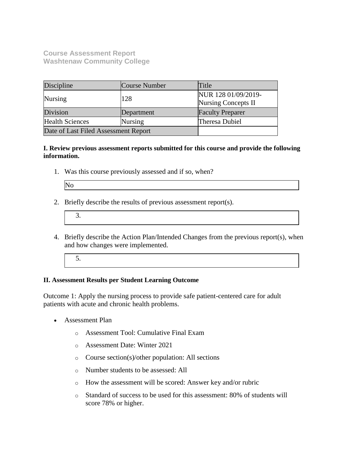**Course Assessment Report Washtenaw Community College**

| Discipline                           | Course Number | Title                                             |
|--------------------------------------|---------------|---------------------------------------------------|
| Nursing                              | 128           | NUR 128 01/09/2019-<br><b>Nursing Concepts II</b> |
| Division                             | Department    | <b>Faculty Preparer</b>                           |
| <b>Health Sciences</b>               | Nursing       | <b>Theresa Dubiel</b>                             |
| Date of Last Filed Assessment Report |               |                                                   |

**I. Review previous assessment reports submitted for this course and provide the following information.**

1. Was this course previously assessed and if so, when?

| ۰.<br>٠<br>۰.<br>× |  |
|--------------------|--|
|--------------------|--|

2. Briefly describe the results of previous assessment report(s).

|--|

- 4. Briefly describe the Action Plan/Intended Changes from the previous report(s), when and how changes were implemented.
	- 5.

#### **II. Assessment Results per Student Learning Outcome**

Outcome 1: Apply the nursing process to provide safe patient-centered care for adult patients with acute and chronic health problems.

- Assessment Plan
	- o Assessment Tool: Cumulative Final Exam
	- o Assessment Date: Winter 2021
	- o Course section(s)/other population: All sections
	- o Number students to be assessed: All
	- o How the assessment will be scored: Answer key and/or rubric
	- o Standard of success to be used for this assessment: 80% of students will score 78% or higher.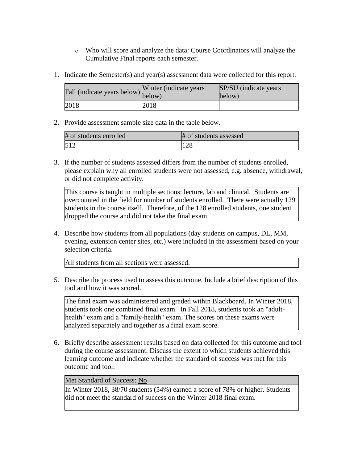- o Who will score and analyze the data: Course Coordinators will analyze the Cumulative Final reports each semester.
- 1. Indicate the Semester(s) and year(s) assessment data were collected for this report.

| Fall (indicate years below) below) | Winter (indicate years) | SP/SU (indicate years)<br>below) |
|------------------------------------|-------------------------|----------------------------------|
| 2018                               | 2018                    |                                  |

2. Provide assessment sample size data in the table below.

| # of students enrolled | # of students assessed |
|------------------------|------------------------|
| 512                    | $1 \cap C$<br>1 Z.O    |

3. If the number of students assessed differs from the number of students enrolled, please explain why all enrolled students were not assessed, e.g. absence, withdrawal, or did not complete activity.

This course is taught in multiple sections: lecture, lab and clinical. Students are overcounted in the field for number of students enrolled. There were actually 129 students in the course itself. Therefore, of the 128 enrolled students, one student dropped the course and did not take the final exam.

4. Describe how students from all populations (day students on campus, DL, MM, evening, extension center sites, etc.) were included in the assessment based on your selection criteria.

All students from all sections were assessed.

5. Describe the process used to assess this outcome. Include a brief description of this tool and how it was scored.

The final exam was administered and graded within Blackboard. In Winter 2018, students took one combined final exam. In Fall 2018, students took an "adulthealth" exam and a "family-health" exam. The scores on these exams were analyzed separately and together as a final exam score.

6. Briefly describe assessment results based on data collected for this outcome and tool during the course assessment. Discuss the extent to which students achieved this learning outcome and indicate whether the standard of success was met for this outcome and tool.

## Met Standard of Success: No

In Winter 2018, 38/70 students (54%) earned a score of 78% or higher. Students did not meet the standard of success on the Winter 2018 final exam.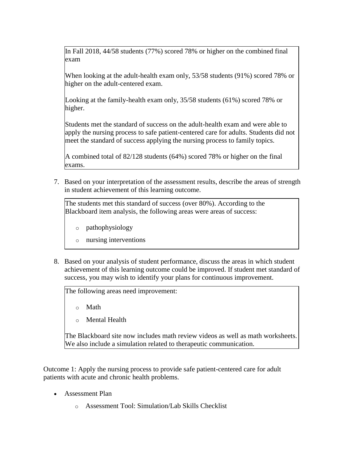In Fall 2018, 44/58 students (77%) scored 78% or higher on the combined final exam

When looking at the adult-health exam only, 53/58 students (91%) scored 78% or higher on the adult-centered exam.

Looking at the family-health exam only, 35/58 students (61%) scored 78% or higher.

Students met the standard of success on the adult-health exam and were able to apply the nursing process to safe patient-centered care for adults. Students did not meet the standard of success applying the nursing process to family topics.

A combined total of 82/128 students (64%) scored 78% or higher on the final exams.

7. Based on your interpretation of the assessment results, describe the areas of strength in student achievement of this learning outcome.

The students met this standard of success (over 80%). According to the Blackboard item analysis, the following areas were areas of success:

- o pathophysiology
- o nursing interventions
- 8. Based on your analysis of student performance, discuss the areas in which student achievement of this learning outcome could be improved. If student met standard of success, you may wish to identify your plans for continuous improvement.

The following areas need improvement:

o Math

o Mental Health

The Blackboard site now includes math review videos as well as math worksheets. We also include a simulation related to therapeutic communication.

Outcome 1: Apply the nursing process to provide safe patient-centered care for adult patients with acute and chronic health problems.

- Assessment Plan
	- o Assessment Tool: Simulation/Lab Skills Checklist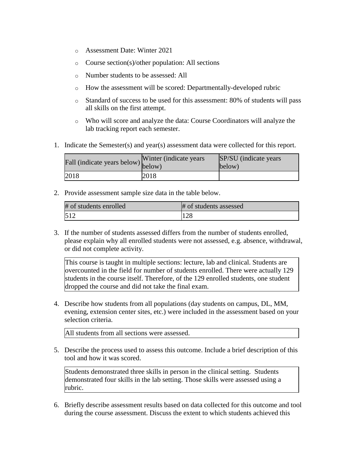- o Assessment Date: Winter 2021
- o Course section(s)/other population: All sections
- o Number students to be assessed: All
- o How the assessment will be scored: Departmentally-developed rubric
- o Standard of success to be used for this assessment: 80% of students will pass all skills on the first attempt.
- o Who will score and analyze the data: Course Coordinators will analyze the lab tracking report each semester.
- 1. Indicate the Semester(s) and year(s) assessment data were collected for this report.

| Fall (indicate years below) below) | Winter (indicate years) | SP/SU (indicate years)<br>below) |
|------------------------------------|-------------------------|----------------------------------|
| 2018                               | 2018                    |                                  |

2. Provide assessment sample size data in the table below.

| # of students enrolled | # of students assessed |
|------------------------|------------------------|
|                        | 128                    |

3. If the number of students assessed differs from the number of students enrolled, please explain why all enrolled students were not assessed, e.g. absence, withdrawal, or did not complete activity.

This course is taught in multiple sections: lecture, lab and clinical. Students are overcounted in the field for number of students enrolled. There were actually 129 students in the course itself. Therefore, of the 129 enrolled students, one student dropped the course and did not take the final exam.

4. Describe how students from all populations (day students on campus, DL, MM, evening, extension center sites, etc.) were included in the assessment based on your selection criteria.

All students from all sections were assessed.

5. Describe the process used to assess this outcome. Include a brief description of this tool and how it was scored.

Students demonstrated three skills in person in the clinical setting. Students demonstrated four skills in the lab setting. Those skills were assessed using a rubric.

6. Briefly describe assessment results based on data collected for this outcome and tool during the course assessment. Discuss the extent to which students achieved this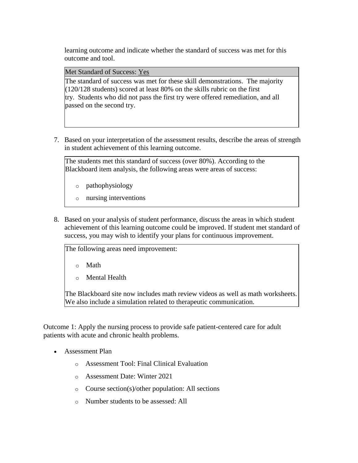learning outcome and indicate whether the standard of success was met for this outcome and tool.

Met Standard of Success: Yes

The standard of success was met for these skill demonstrations. The majority (120/128 students) scored at least 80% on the skills rubric on the first try. Students who did not pass the first try were offered remediation, and all passed on the second try.

7. Based on your interpretation of the assessment results, describe the areas of strength in student achievement of this learning outcome.

The students met this standard of success (over 80%). According to the Blackboard item analysis, the following areas were areas of success:

- o pathophysiology
- o nursing interventions
- 8. Based on your analysis of student performance, discuss the areas in which student achievement of this learning outcome could be improved. If student met standard of success, you may wish to identify your plans for continuous improvement.

The following areas need improvement:

o Math

o Mental Health

The Blackboard site now includes math review videos as well as math worksheets. We also include a simulation related to therapeutic communication.

Outcome 1: Apply the nursing process to provide safe patient-centered care for adult patients with acute and chronic health problems.

- Assessment Plan
	- o Assessment Tool: Final Clinical Evaluation
	- o Assessment Date: Winter 2021
	- o Course section(s)/other population: All sections
	- o Number students to be assessed: All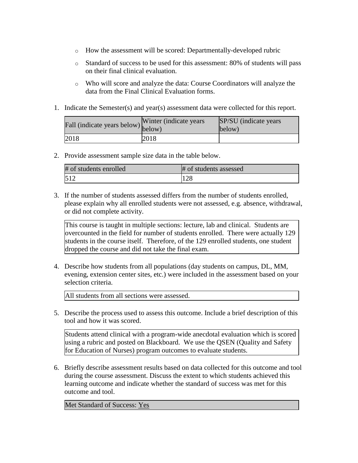- o How the assessment will be scored: Departmentally-developed rubric
- o Standard of success to be used for this assessment: 80% of students will pass on their final clinical evaluation.
- o Who will score and analyze the data: Course Coordinators will analyze the data from the Final Clinical Evaluation forms.
- 1. Indicate the Semester(s) and year(s) assessment data were collected for this report.

| riall (indicate years below) below) | Winter (indicate years) | SP/SU (indicate years)<br>below) |
|-------------------------------------|-------------------------|----------------------------------|
| 2018                                | 2018                    |                                  |

2. Provide assessment sample size data in the table below.

| # of students enrolled | # of students assessed |
|------------------------|------------------------|
| 512                    | 100<br>⊥∠ ∩            |

3. If the number of students assessed differs from the number of students enrolled, please explain why all enrolled students were not assessed, e.g. absence, withdrawal, or did not complete activity.

This course is taught in multiple sections: lecture, lab and clinical. Students are overcounted in the field for number of students enrolled. There were actually 129 students in the course itself. Therefore, of the 129 enrolled students, one student dropped the course and did not take the final exam.

4. Describe how students from all populations (day students on campus, DL, MM, evening, extension center sites, etc.) were included in the assessment based on your selection criteria.

All students from all sections were assessed.

5. Describe the process used to assess this outcome. Include a brief description of this tool and how it was scored.

Students attend clinical with a program-wide anecdotal evaluation which is scored using a rubric and posted on Blackboard. We use the QSEN (Quality and Safety for Education of Nurses) program outcomes to evaluate students.

6. Briefly describe assessment results based on data collected for this outcome and tool during the course assessment. Discuss the extent to which students achieved this learning outcome and indicate whether the standard of success was met for this outcome and tool.

Met Standard of Success: Yes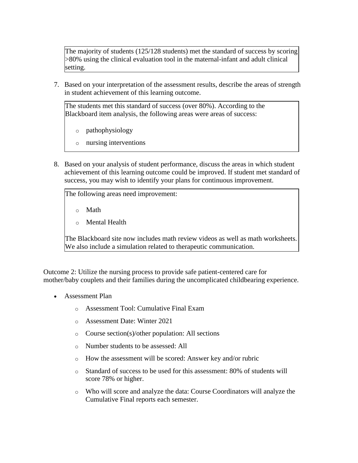The majority of students (125/128 students) met the standard of success by scoring >80% using the clinical evaluation tool in the maternal-infant and adult clinical setting.

7. Based on your interpretation of the assessment results, describe the areas of strength in student achievement of this learning outcome.

The students met this standard of success (over 80%). According to the Blackboard item analysis, the following areas were areas of success:

- o pathophysiology
- o nursing interventions
- 8. Based on your analysis of student performance, discuss the areas in which student achievement of this learning outcome could be improved. If student met standard of success, you may wish to identify your plans for continuous improvement.

The following areas need improvement: o Math o Mental Health The Blackboard site now includes math review videos as well as math worksheets. We also include a simulation related to therapeutic communication.

Outcome 2: Utilize the nursing process to provide safe patient-centered care for mother/baby couplets and their families during the uncomplicated childbearing experience.

- Assessment Plan
	- o Assessment Tool: Cumulative Final Exam
	- o Assessment Date: Winter 2021
	- o Course section(s)/other population: All sections
	- o Number students to be assessed: All
	- o How the assessment will be scored: Answer key and/or rubric
	- o Standard of success to be used for this assessment: 80% of students will score 78% or higher.
	- o Who will score and analyze the data: Course Coordinators will analyze the Cumulative Final reports each semester.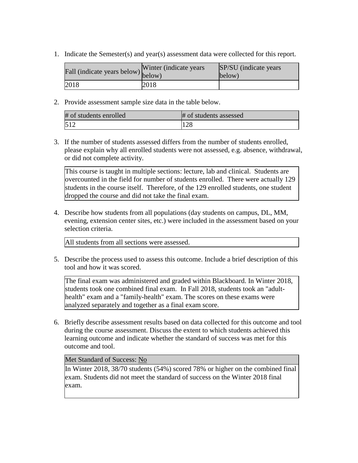1. Indicate the Semester(s) and year(s) assessment data were collected for this report.

| Fall (indicate years below) below) | Winter (indicate years) | SP/SU (indicate years)<br>below) |
|------------------------------------|-------------------------|----------------------------------|
| 2018                               | 2018                    |                                  |

2. Provide assessment sample size data in the table below.

| # of students enrolled | # of students assessed |
|------------------------|------------------------|
| 512                    | ın c<br>⊥ ∠ ∧          |

3. If the number of students assessed differs from the number of students enrolled, please explain why all enrolled students were not assessed, e.g. absence, withdrawal, or did not complete activity.

This course is taught in multiple sections: lecture, lab and clinical. Students are overcounted in the field for number of students enrolled. There were actually 129 students in the course itself. Therefore, of the 129 enrolled students, one student dropped the course and did not take the final exam.

4. Describe how students from all populations (day students on campus, DL, MM, evening, extension center sites, etc.) were included in the assessment based on your selection criteria.

All students from all sections were assessed.

5. Describe the process used to assess this outcome. Include a brief description of this tool and how it was scored.

The final exam was administered and graded within Blackboard. In Winter 2018, students took one combined final exam. In Fall 2018, students took an "adulthealth" exam and a "family-health" exam. The scores on these exams were analyzed separately and together as a final exam score.

6. Briefly describe assessment results based on data collected for this outcome and tool during the course assessment. Discuss the extent to which students achieved this learning outcome and indicate whether the standard of success was met for this outcome and tool.

## Met Standard of Success: No

In Winter 2018, 38/70 students (54%) scored 78% or higher on the combined final exam. Students did not meet the standard of success on the Winter 2018 final exam.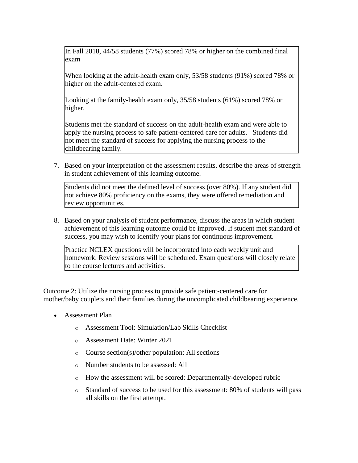In Fall 2018, 44/58 students (77%) scored 78% or higher on the combined final exam

When looking at the adult-health exam only, 53/58 students (91%) scored 78% or higher on the adult-centered exam.

Looking at the family-health exam only, 35/58 students (61%) scored 78% or higher.

Students met the standard of success on the adult-health exam and were able to apply the nursing process to safe patient-centered care for adults. Students did not meet the standard of success for applying the nursing process to the childbearing family.

7. Based on your interpretation of the assessment results, describe the areas of strength in student achievement of this learning outcome.

Students did not meet the defined level of success (over 80%). If any student did not achieve 80% proficiency on the exams, they were offered remediation and review opportunities.

8. Based on your analysis of student performance, discuss the areas in which student achievement of this learning outcome could be improved. If student met standard of success, you may wish to identify your plans for continuous improvement.

Practice NCLEX questions will be incorporated into each weekly unit and homework. Review sessions will be scheduled. Exam questions will closely relate to the course lectures and activities.

Outcome 2: Utilize the nursing process to provide safe patient-centered care for mother/baby couplets and their families during the uncomplicated childbearing experience.

- Assessment Plan
	- o Assessment Tool: Simulation/Lab Skills Checklist
	- o Assessment Date: Winter 2021
	- o Course section(s)/other population: All sections
	- o Number students to be assessed: All
	- o How the assessment will be scored: Departmentally-developed rubric
	- o Standard of success to be used for this assessment: 80% of students will pass all skills on the first attempt.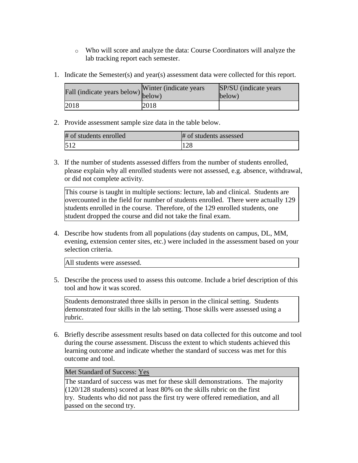- o Who will score and analyze the data: Course Coordinators will analyze the lab tracking report each semester.
- 1. Indicate the Semester(s) and year(s) assessment data were collected for this report.

| Fall (indicate years below) below) | Winter (indicate years) | SP/SU (indicate years)<br>below) |
|------------------------------------|-------------------------|----------------------------------|
| 2018                               | 2018                    |                                  |

2. Provide assessment sample size data in the table below.

| # of students enrolled | # of students assessed |
|------------------------|------------------------|
| 512                    | 100<br>⊥∠ ∩            |

3. If the number of students assessed differs from the number of students enrolled, please explain why all enrolled students were not assessed, e.g. absence, withdrawal, or did not complete activity.

This course is taught in multiple sections: lecture, lab and clinical. Students are overcounted in the field for number of students enrolled. There were actually 129 students enrolled in the course. Therefore, of the 129 enrolled students, one student dropped the course and did not take the final exam.

4. Describe how students from all populations (day students on campus, DL, MM, evening, extension center sites, etc.) were included in the assessment based on your selection criteria.

All students were assessed.

5. Describe the process used to assess this outcome. Include a brief description of this tool and how it was scored.

Students demonstrated three skills in person in the clinical setting. Students demonstrated four skills in the lab setting. Those skills were assessed using a rubric.

6. Briefly describe assessment results based on data collected for this outcome and tool during the course assessment. Discuss the extent to which students achieved this learning outcome and indicate whether the standard of success was met for this outcome and tool.

## Met Standard of Success: Yes

The standard of success was met for these skill demonstrations. The majority (120/128 students) scored at least 80% on the skills rubric on the first try. Students who did not pass the first try were offered remediation, and all passed on the second try.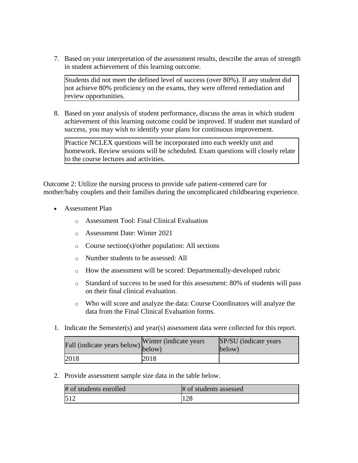7. Based on your interpretation of the assessment results, describe the areas of strength in student achievement of this learning outcome.

Students did not meet the defined level of success (over 80%). If any student did not achieve 80% proficiency on the exams, they were offered remediation and review opportunities.

8. Based on your analysis of student performance, discuss the areas in which student achievement of this learning outcome could be improved. If student met standard of success, you may wish to identify your plans for continuous improvement.

Practice NCLEX questions will be incorporated into each weekly unit and homework. Review sessions will be scheduled. Exam questions will closely relate to the course lectures and activities.

Outcome 2: Utilize the nursing process to provide safe patient-centered care for mother/baby couplets and their families during the uncomplicated childbearing experience.

- Assessment Plan
	- o Assessment Tool: Final Clinical Evaluation
	- o Assessment Date: Winter 2021
	- o Course section(s)/other population: All sections
	- o Number students to be assessed: All
	- o How the assessment will be scored: Departmentally-developed rubric
	- o Standard of success to be used for this assessment: 80% of students will pass on their final clinical evaluation.
	- o Who will score and analyze the data: Course Coordinators will analyze the data from the Final Clinical Evaluation forms.
- 1. Indicate the Semester(s) and year(s) assessment data were collected for this report.

| Fall (indicate years below) $\begin{bmatrix} \text{w}\text{ inter} \\ \text{below} \end{bmatrix}$ | Winter (indicate years) | SP/SU (indicate years)<br>below) |
|---------------------------------------------------------------------------------------------------|-------------------------|----------------------------------|
| 2018                                                                                              | 2018                    |                                  |

2. Provide assessment sample size data in the table below.

| # of students enrolled | # of students assessed |
|------------------------|------------------------|
| 512                    | $1 \cap Q$<br>128      |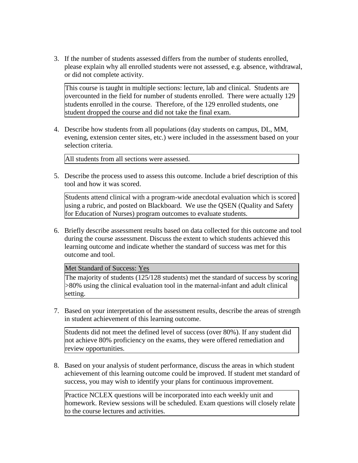3. If the number of students assessed differs from the number of students enrolled, please explain why all enrolled students were not assessed, e.g. absence, withdrawal, or did not complete activity.

This course is taught in multiple sections: lecture, lab and clinical. Students are overcounted in the field for number of students enrolled. There were actually 129 students enrolled in the course. Therefore, of the 129 enrolled students, one student dropped the course and did not take the final exam.

4. Describe how students from all populations (day students on campus, DL, MM, evening, extension center sites, etc.) were included in the assessment based on your selection criteria.

All students from all sections were assessed.

5. Describe the process used to assess this outcome. Include a brief description of this tool and how it was scored.

Students attend clinical with a program-wide anecdotal evaluation which is scored using a rubric, and posted on Blackboard. We use the QSEN (Quality and Safety for Education of Nurses) program outcomes to evaluate students.

6. Briefly describe assessment results based on data collected for this outcome and tool during the course assessment. Discuss the extent to which students achieved this learning outcome and indicate whether the standard of success was met for this outcome and tool.

Met Standard of Success: Yes

The majority of students (125/128 students) met the standard of success by scoring >80% using the clinical evaluation tool in the maternal-infant and adult clinical setting.

7. Based on your interpretation of the assessment results, describe the areas of strength in student achievement of this learning outcome.

Students did not meet the defined level of success (over 80%). If any student did not achieve 80% proficiency on the exams, they were offered remediation and review opportunities.

8. Based on your analysis of student performance, discuss the areas in which student achievement of this learning outcome could be improved. If student met standard of success, you may wish to identify your plans for continuous improvement.

Practice NCLEX questions will be incorporated into each weekly unit and homework. Review sessions will be scheduled. Exam questions will closely relate to the course lectures and activities.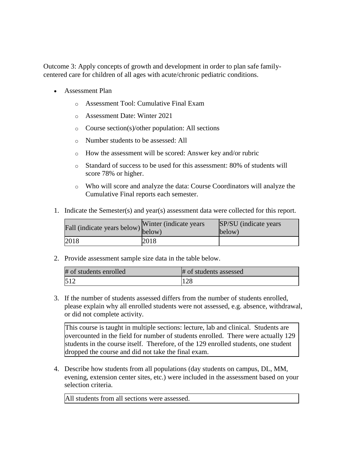Outcome 3: Apply concepts of growth and development in order to plan safe familycentered care for children of all ages with acute/chronic pediatric conditions.

- Assessment Plan
	- o Assessment Tool: Cumulative Final Exam
	- o Assessment Date: Winter 2021
	- o Course section(s)/other population: All sections
	- o Number students to be assessed: All
	- o How the assessment will be scored: Answer key and/or rubric
	- o Standard of success to be used for this assessment: 80% of students will score 78% or higher.
	- o Who will score and analyze the data: Course Coordinators will analyze the Cumulative Final reports each semester.
- 1. Indicate the Semester(s) and year(s) assessment data were collected for this report.

| Fall (indicate years below) below) | Winter (indicate years) | SP/SU (indicate years)<br>below) |
|------------------------------------|-------------------------|----------------------------------|
| 2018                               | 2018                    |                                  |

2. Provide assessment sample size data in the table below.

| # of students enrolled | # of students assessed |
|------------------------|------------------------|
| 512                    | 100<br>1.ZO            |

3. If the number of students assessed differs from the number of students enrolled, please explain why all enrolled students were not assessed, e.g. absence, withdrawal, or did not complete activity.

This course is taught in multiple sections: lecture, lab and clinical. Students are overcounted in the field for number of students enrolled. There were actually 129 students in the course itself. Therefore, of the 129 enrolled students, one student dropped the course and did not take the final exam.

4. Describe how students from all populations (day students on campus, DL, MM, evening, extension center sites, etc.) were included in the assessment based on your selection criteria.

All students from all sections were assessed.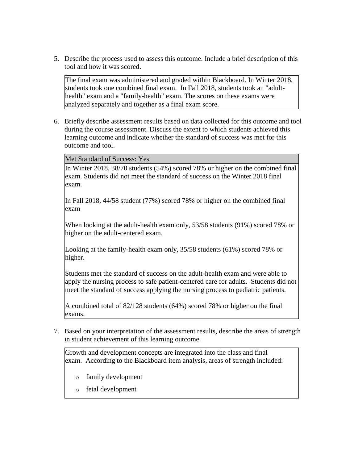5. Describe the process used to assess this outcome. Include a brief description of this tool and how it was scored.

The final exam was administered and graded within Blackboard. In Winter 2018, students took one combined final exam. In Fall 2018, students took an "adulthealth" exam and a "family-health" exam. The scores on these exams were analyzed separately and together as a final exam score.

6. Briefly describe assessment results based on data collected for this outcome and tool during the course assessment. Discuss the extent to which students achieved this learning outcome and indicate whether the standard of success was met for this outcome and tool.

Met Standard of Success: Yes

In Winter 2018, 38/70 students (54%) scored 78% or higher on the combined final exam. Students did not meet the standard of success on the Winter 2018 final exam.

In Fall 2018, 44/58 student (77%) scored 78% or higher on the combined final exam

When looking at the adult-health exam only, 53/58 students (91%) scored 78% or higher on the adult-centered exam.

Looking at the family-health exam only, 35/58 students (61%) scored 78% or higher.

Students met the standard of success on the adult-health exam and were able to apply the nursing process to safe patient-centered care for adults. Students did not meet the standard of success applying the nursing process to pediatric patients.

A combined total of 82/128 students (64%) scored 78% or higher on the final exams.

7. Based on your interpretation of the assessment results, describe the areas of strength in student achievement of this learning outcome.

Growth and development concepts are integrated into the class and final exam. According to the Blackboard item analysis, areas of strength included:

- o family development
- o fetal development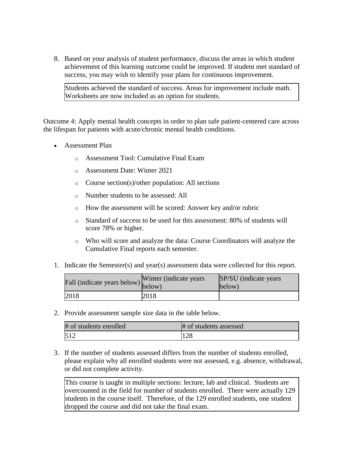8. Based on your analysis of student performance, discuss the areas in which student achievement of this learning outcome could be improved. If student met standard of success, you may wish to identify your plans for continuous improvement.

Students achieved the standard of success. Areas for improvement include math. Worksheets are now included as an option for students.

Outcome 4: Apply mental health concepts in order to plan safe patient-centered care across the lifespan for patients with acute/chronic mental health conditions.

- Assessment Plan
	- o Assessment Tool: Cumulative Final Exam
	- o Assessment Date: Winter 2021
	- o Course section(s)/other population: All sections
	- o Number students to be assessed: All
	- o How the assessment will be scored: Answer key and/or rubric
	- o Standard of success to be used for this assessment: 80% of students will score 78% or higher.
	- o Who will score and analyze the data: Course Coordinators will analyze the Cumulative Final reports each semester.
- 1. Indicate the Semester(s) and year(s) assessment data were collected for this report.

| rall (indicate years below) below) | Winter (indicate years | SP/SU (indicate years)<br>below) |
|------------------------------------|------------------------|----------------------------------|
| 2018                               | 2018                   |                                  |

2. Provide assessment sample size data in the table below.

| # of students enrolled | # of students assessed |
|------------------------|------------------------|
|                        | ⊥∠0                    |

3. If the number of students assessed differs from the number of students enrolled, please explain why all enrolled students were not assessed, e.g. absence, withdrawal, or did not complete activity.

This course is taught in multiple sections: lecture, lab and clinical. Students are overcounted in the field for number of students enrolled. There were actually 129 students in the course itself. Therefore, of the 129 enrolled students, one student dropped the course and did not take the final exam.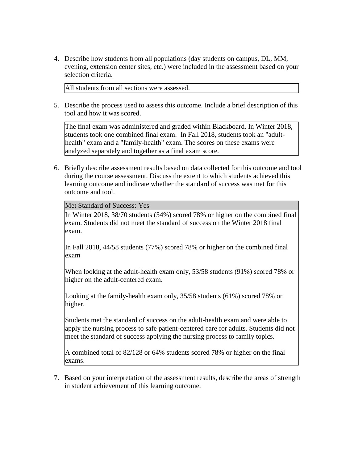4. Describe how students from all populations (day students on campus, DL, MM, evening, extension center sites, etc.) were included in the assessment based on your selection criteria.

All students from all sections were assessed.

5. Describe the process used to assess this outcome. Include a brief description of this tool and how it was scored.

The final exam was administered and graded within Blackboard. In Winter 2018, students took one combined final exam. In Fall 2018, students took an "adulthealth" exam and a "family-health" exam. The scores on these exams were analyzed separately and together as a final exam score.

6. Briefly describe assessment results based on data collected for this outcome and tool during the course assessment. Discuss the extent to which students achieved this learning outcome and indicate whether the standard of success was met for this outcome and tool.

#### Met Standard of Success: Yes

In Winter 2018, 38/70 students (54%) scored 78% or higher on the combined final exam. Students did not meet the standard of success on the Winter 2018 final exam.

In Fall 2018, 44/58 students (77%) scored 78% or higher on the combined final exam

When looking at the adult-health exam only, 53/58 students (91%) scored 78% or higher on the adult-centered exam.

Looking at the family-health exam only, 35/58 students (61%) scored 78% or higher.

Students met the standard of success on the adult-health exam and were able to apply the nursing process to safe patient-centered care for adults. Students did not meet the standard of success applying the nursing process to family topics.

A combined total of 82/128 or 64% students scored 78% or higher on the final exams.

7. Based on your interpretation of the assessment results, describe the areas of strength in student achievement of this learning outcome.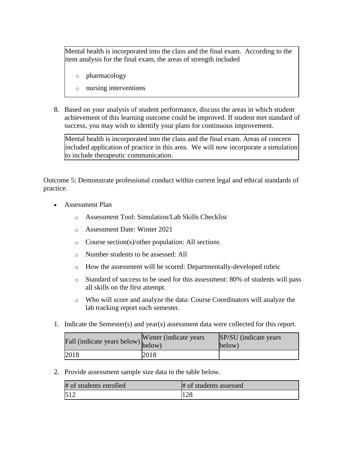Mental health is incorporated into the class and the final exam. According to the item analysis for the final exam, the areas of strength included

- o pharmacology
- o nursing interventions
- 8. Based on your analysis of student performance, discuss the areas in which student achievement of this learning outcome could be improved. If student met standard of success, you may wish to identify your plans for continuous improvement.

Mental health is incorporated into the class and the final exam. Areas of concern included application of practice in this area. We will now incorporate a simulation to include therapeutic communication.

Outcome 5: Demonstrate professional conduct within current legal and ethical standards of practice.

- Assessment Plan
	- o Assessment Tool: Simulation/Lab Skills Checklist
	- o Assessment Date: Winter 2021
	- o Course section(s)/other population: All sections
	- o Number students to be assessed: All
	- o How the assessment will be scored: Departmentally-developed rubric
	- o Standard of success to be used for this assessment: 80% of students will pass all skills on the first attempt.
	- o Who will score and analyze the data: Course Coordinators will analyze the lab tracking report each semester.
- 1. Indicate the Semester(s) and year(s) assessment data were collected for this report.

| riall (indicate years below) below) | Winter (indicate years) | SP/SU (indicate years)<br>below) |
|-------------------------------------|-------------------------|----------------------------------|
| 2018                                | 2018                    |                                  |

2. Provide assessment sample size data in the table below.

| # of students enrolled | # of students assessed |
|------------------------|------------------------|
| 512                    | $1 \cap C$<br>1.ZX     |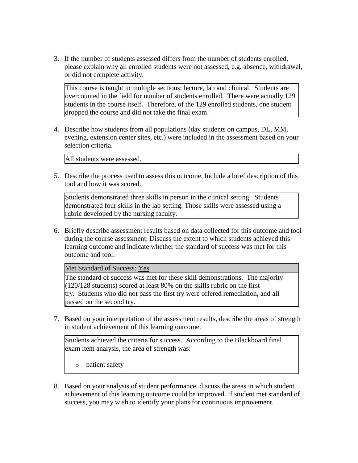3. If the number of students assessed differs from the number of students enrolled, please explain why all enrolled students were not assessed, e.g. absence, withdrawal, or did not complete activity.

This course is taught in multiple sections: lecture, lab and clinical. Students are overcounted in the field for number of students enrolled. There were actually 129 students in the course itself. Therefore, of the 129 enrolled students, one student dropped the course and did not take the final exam.

4. Describe how students from all populations (day students on campus, DL, MM, evening, extension center sites, etc.) were included in the assessment based on your selection criteria.

All students were assessed.

5. Describe the process used to assess this outcome. Include a brief description of this tool and how it was scored.

Students demonstrated three skills in person in the clinical setting. Students demonstrated four skills in the lab setting. Those skills were assessed using a rubric developed by the nursing faculty.

6. Briefly describe assessment results based on data collected for this outcome and tool during the course assessment. Discuss the extent to which students achieved this learning outcome and indicate whether the standard of success was met for this outcome and tool.

Met Standard of Success: Yes

The standard of success was met for these skill demonstrations. The majority (120/128 students) scored at least 80% on the skills rubric on the first try. Students who did not pass the first try were offered remediation, and all passed on the second try.

7. Based on your interpretation of the assessment results, describe the areas of strength in student achievement of this learning outcome.

Students achieved the criteria for success. According to the Blackboard final exam item analysis, the area of strength was:

o patient safety

8. Based on your analysis of student performance, discuss the areas in which student achievement of this learning outcome could be improved. If student met standard of success, you may wish to identify your plans for continuous improvement.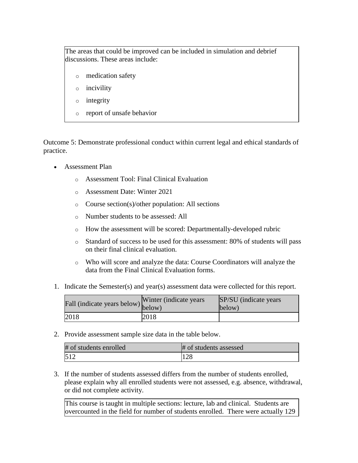The areas that could be improved can be included in simulation and debrief discussions. These areas include:

- o medication safety
- o incivility
- o integrity
- o report of unsafe behavior

Outcome 5: Demonstrate professional conduct within current legal and ethical standards of practice.

- Assessment Plan
	- o Assessment Tool: Final Clinical Evaluation
	- o Assessment Date: Winter 2021
	- o Course section(s)/other population: All sections
	- o Number students to be assessed: All
	- o How the assessment will be scored: Departmentally-developed rubric
	- o Standard of success to be used for this assessment: 80% of students will pass on their final clinical evaluation.
	- o Who will score and analyze the data: Course Coordinators will analyze the data from the Final Clinical Evaluation forms.
- 1. Indicate the Semester(s) and year(s) assessment data were collected for this report.

| Fall (indicate years below) below) | Winter (indicate years) | SP/SU (indicate years)<br>below) |
|------------------------------------|-------------------------|----------------------------------|
| 2018                               | 2018                    |                                  |

2. Provide assessment sample size data in the table below.

| # of students enrolled | # of students assessed |
|------------------------|------------------------|
| $51^\circ$             | 100<br>⊥∠ ∩            |

3. If the number of students assessed differs from the number of students enrolled, please explain why all enrolled students were not assessed, e.g. absence, withdrawal, or did not complete activity.

This course is taught in multiple sections: lecture, lab and clinical. Students are overcounted in the field for number of students enrolled. There were actually 129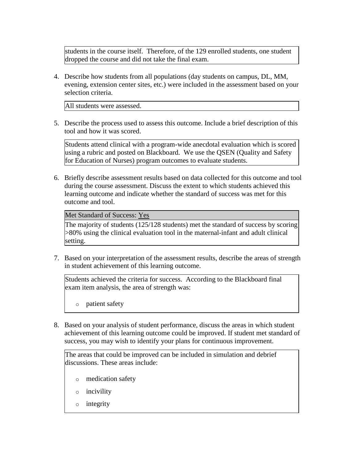students in the course itself. Therefore, of the 129 enrolled students, one student dropped the course and did not take the final exam.

4. Describe how students from all populations (day students on campus, DL, MM, evening, extension center sites, etc.) were included in the assessment based on your selection criteria.

All students were assessed.

5. Describe the process used to assess this outcome. Include a brief description of this tool and how it was scored.

Students attend clinical with a program-wide anecdotal evaluation which is scored using a rubric and posted on Blackboard. We use the QSEN (Quality and Safety for Education of Nurses) program outcomes to evaluate students.

6. Briefly describe assessment results based on data collected for this outcome and tool during the course assessment. Discuss the extent to which students achieved this learning outcome and indicate whether the standard of success was met for this outcome and tool.

## Met Standard of Success: Yes

The majority of students (125/128 students) met the standard of success by scoring >80% using the clinical evaluation tool in the maternal-infant and adult clinical setting.

7. Based on your interpretation of the assessment results, describe the areas of strength in student achievement of this learning outcome.

Students achieved the criteria for success. According to the Blackboard final exam item analysis, the area of strength was:

o patient safety

8. Based on your analysis of student performance, discuss the areas in which student achievement of this learning outcome could be improved. If student met standard of success, you may wish to identify your plans for continuous improvement.

The areas that could be improved can be included in simulation and debrief discussions. These areas include:

- o medication safety
- o incivility
- o integrity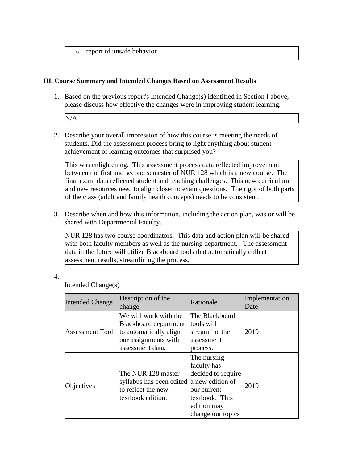o report of unsafe behavior

## **III. Course Summary and Intended Changes Based on Assessment Results**

1. Based on the previous report's Intended Change(s) identified in Section I above, please discuss how effective the changes were in improving student learning.

N/A

2. Describe your overall impression of how this course is meeting the needs of students. Did the assessment process bring to light anything about student achievement of learning outcomes that surprised you?

This was enlightening. This assessment process data reflected improvement between the first and second semester of NUR 128 which is a new course. The final exam data reflected student and teaching challenges. This new curriculum and new resources need to align closer to exam questions. The rigor of both parts of the class (adult and family health concepts) needs to be consistent.

3. Describe when and how this information, including the action plan, was or will be shared with Departmental Faculty.

NUR 128 has two course coordinators. This data and action plan will be shared with both faculty members as well as the nursing department. The assessment data in the future will utilize Blackboard tools that automatically collect assessment results, streamlining the process.

## 4.

Intended Change(s)

| <b>Intended Change</b> | Description of the<br>change                                                                                         | Rationale                                                                                                             | Implementation<br>Date |
|------------------------|----------------------------------------------------------------------------------------------------------------------|-----------------------------------------------------------------------------------------------------------------------|------------------------|
| <b>Assessment Tool</b> | We will work with the<br>Blackboard department<br>to automatically align<br>our assignments with<br>assessment data. | The Blackboard<br>tools will<br>streamline the<br>assessment<br>process.                                              | 2019                   |
| Objectives             | The NUR 128 master<br>syllabus has been edited a new edition of<br>to reflect the new<br>textbook edition.           | The nursing<br>faculty has<br>decided to require<br>our current<br>textbook. This<br>edition may<br>change our topics | 2019                   |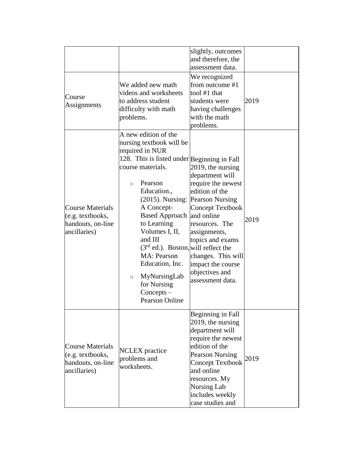|                                                                                  |                                                                                                                                                                                                                                                                                                                                                                                                                                                                                | slightly, outcomes<br>and therefore, the<br>assessment data.                                                                                                                                                                                |      |
|----------------------------------------------------------------------------------|--------------------------------------------------------------------------------------------------------------------------------------------------------------------------------------------------------------------------------------------------------------------------------------------------------------------------------------------------------------------------------------------------------------------------------------------------------------------------------|---------------------------------------------------------------------------------------------------------------------------------------------------------------------------------------------------------------------------------------------|------|
| Course<br>Assignments                                                            | We added new math<br>videos and worksheets<br>to address student<br>difficulty with math<br>problems.                                                                                                                                                                                                                                                                                                                                                                          | We recognized<br>from outcome #1<br>tool $#1$ that<br>students were<br>having challenges<br>with the math<br>problems.                                                                                                                      | 2019 |
| <b>Course Materials</b><br>(e.g. textbooks,<br>handouts, on-line<br>ancillaries) | A new edition of the<br>nursing textbook will be<br>required in NUR<br>128. This is listed under Beginning in Fall<br>course materials.<br>Pearson<br>$\Omega$<br>Education.,<br>(2015). Nursing: Pearson Nursing<br>A Concept-<br>Based Approach and online<br>to Learning<br>Volumes I, II,<br>and III<br>$(3rd$ ed.). Boston, will reflect the<br><b>MA</b> : Pearson<br>Education, Inc.<br>MyNursingLab<br>$\circ$<br>for Nursing<br>$Concepts -$<br><b>Pearson Online</b> | 2019, the nursing<br>department will<br>require the newest<br>edition of the<br>Concept Textbook<br>resources. The<br>assignments,<br>topics and exams<br>changes. This will<br>impact the course<br>objectives and<br>assessment data.     | 2019 |
| <b>Course Materials</b><br>(e.g. textbooks,<br>handouts, on-line<br>ancillaries) | <b>NCLEX</b> practice<br>problems and<br>worksheets.                                                                                                                                                                                                                                                                                                                                                                                                                           | Beginning in Fall<br>2019, the nursing<br>department will<br>require the newest<br>edition of the<br><b>Pearson Nursing</b><br>Concept Textbook<br>and online<br>resources. My<br><b>Nursing Lab</b><br>includes weekly<br>case studies and | 2019 |